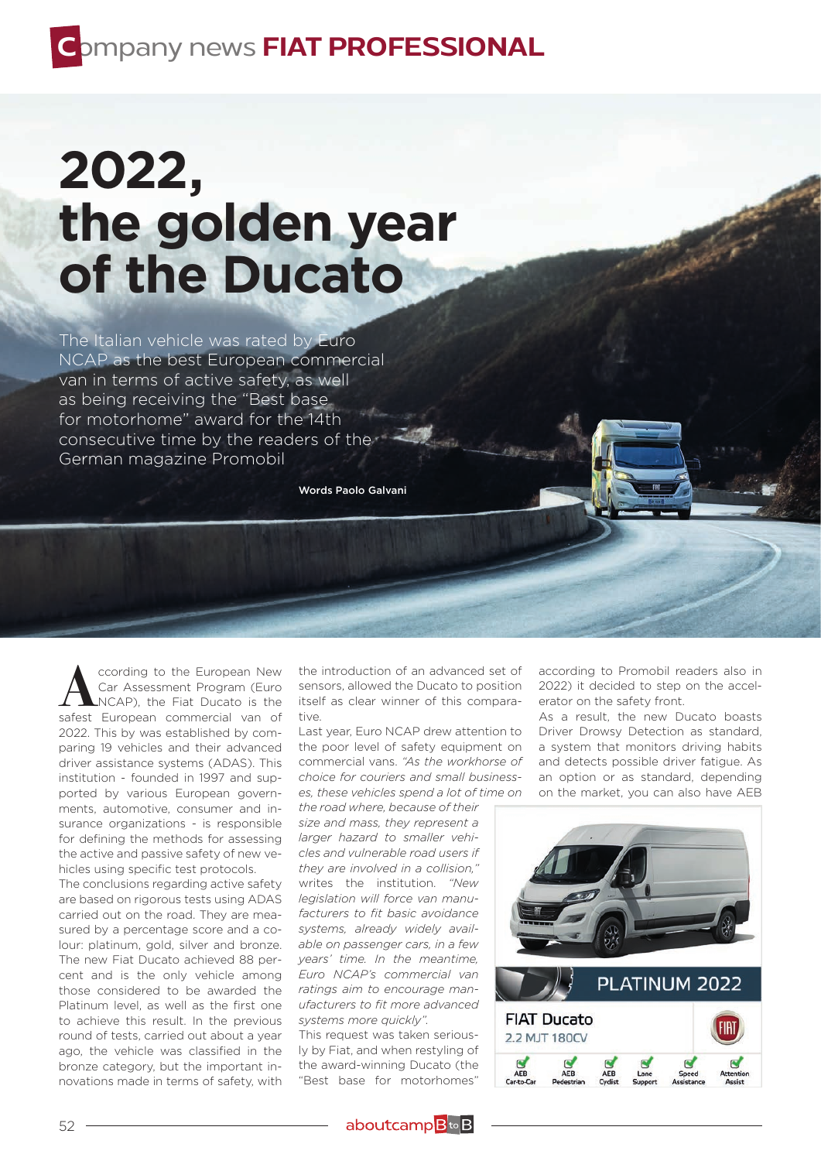## **C**ompany news **FIAT PROFESSIONAL**

## **2022, the golden year of the Ducato**

The Italian vehicle was rated by Euro NCAP as the best European commercial van in terms of active safety, as well as being receiving the "Best base for motorhome" award for the 14th consecutive time by the readers of the German magazine Promobil

Words Paolo Galvani

**A** cording to the European New<br>
Car Assessment Program (Euro<br>
NCAP), the Fiat Ducato is the<br>
safest European commercial van of Car Assessment Program (Euro safest European commercial van of 2022. This by was established by comparing 19 vehicles and their advanced driver assistance systems (ADAS). This institution - founded in 1997 and supported by various European governments, automotive, consumer and insurance organizations - is responsible for defining the methods for assessing the active and passive safety of new vehicles using specific test protocols.

The conclusions regarding active safety are based on rigorous tests using ADAS carried out on the road. They are measured by a percentage score and a colour: platinum, gold, silver and bronze. The new Fiat Ducato achieved 88 percent and is the only vehicle among those considered to be awarded the Platinum level, as well as the first one to achieve this result. In the previous round of tests, carried out about a year ago, the vehicle was classified in the bronze category, but the important innovations made in terms of safety, with

the introduction of an advanced set of sensors, allowed the Ducato to position itself as clear winner of this comparative.

Last year, Euro NCAP drew attention to the poor level of safety equipment on commercial vans. *"As the workhorse of choice for couriers and small businesses, these vehicles spend a lot of time on the road where, because of their* 

*size and mass, they represent a larger hazard to smaller vehicles and vulnerable road users if they are involved in a collision,"* writes the institution. *"New legislation will force van manufacturers to fit basic avoidance systems, already widely available on passenger cars, in a few years' time. In the meantime, Euro NCAP's commercial van ratings aim to encourage manufacturers to fit more advanced systems more quickly".*

This request was taken seriously by Fiat, and when restyling of the award-winning Ducato (the "Best base for motorhomes"

aboutcamp<sup>B</sup>to<sub>B</sub>

according to Promobil readers also in 2022) it decided to step on the accelerator on the safety front.

As a result, the new Ducato boasts Driver Drowsy Detection as standard, a system that monitors driving habits and detects possible driver fatigue. As an option or as standard, depending on the market, you can also have AEB